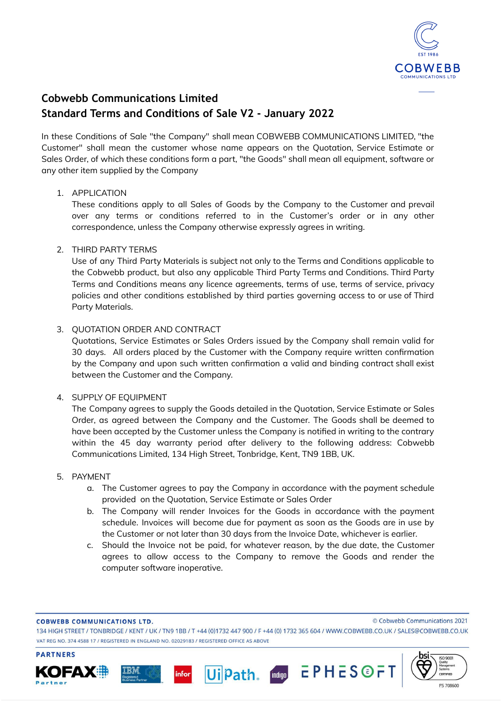

# **Cobwebb Communications Limited Standard Terms and Conditions of Sale V2 - January 2022**

In these Conditions of Sale "the Company" shall mean COBWEBB COMMUNICATIONS LIMITED, "the Customer" shall mean the customer whose name appears on the Quotation, Service Estimate or Sales Order, of which these conditions form a part, "the Goods" shall mean all equipment, software or any other item supplied by the Company

# 1. APPLICATION

These conditions apply to all Sales of Goods by the Company to the Customer and prevail over any terms or conditions referred to in the Customer's order or in any other correspondence, unless the Company otherwise expressly agrees in writing.

# 2. THIRD PARTY TERMS

Use of any Third Party Materials is subject not only to the Terms and Conditions applicable to the Cobwebb product, but also any applicable Third Party Terms and Conditions. Third Party Terms and Conditions means any licence agreements, terms of use, terms of service, privacy policies and other conditions established by third parties governing access to or use of Third Party Materials.

# 3. QUOTATION ORDER AND CONTRACT

Quotations, Service Estimates or Sales Orders issued by the Company shall remain valid for 30 days. All orders placed by the Customer with the Company require written confirmation by the Company and upon such written confirmation a valid and binding contract shall exist between the Customer and the Company.

# 4. SUPPLY OF EQUIPMENT

The Company agrees to supply the Goods detailed in the Quotation, Service Estimate or Sales Order, as agreed between the Company and the Customer. The Goods shall be deemed to have been accepted by the Customer unless the Company is notified in writing to the contrary within the 45 day warranty period after delivery to the following address: Cobwebb Communications Limited, 134 High Street, Tonbridge, Kent, TN9 1BB, UK.

# 5. PAYMENT

- a. The Customer agrees to pay the Company in accordance with the payment schedule provided on the Quotation, Service Estimate or Sales Order
- b. The Company will render Invoices for the Goods in accordance with the payment schedule. Invoices will become due for payment as soon as the Goods are in use by the Customer or not later than 30 days from the Invoice Date, whichever is earlier.
- c. Should the Invoice not be paid, for whatever reason, by the due date, the Customer agrees to allow access to the Company to remove the Goods and render the computer software inoperative.

#### **COBWEBB COMMUNICATIONS LTD.**

**PARTNERS** 

KOFAX

134 HIGH STREET / TONBRIDGE / KENT / UK / TN9 1BB / T +44 (0)1732 447 900 / F +44 (0) 1732 365 604 / WWW.COBWEBB.CO.UK / SALES@COBWEBB.CO.UK VAT REG NO. 374 4588 17 / REGISTERED IN ENGLAND NO. 02029183 / REGISTERED OFFICE AS ABOVE

Ui Path.

infor

mange EPHESGFT



© Cobwebb Communications 2021

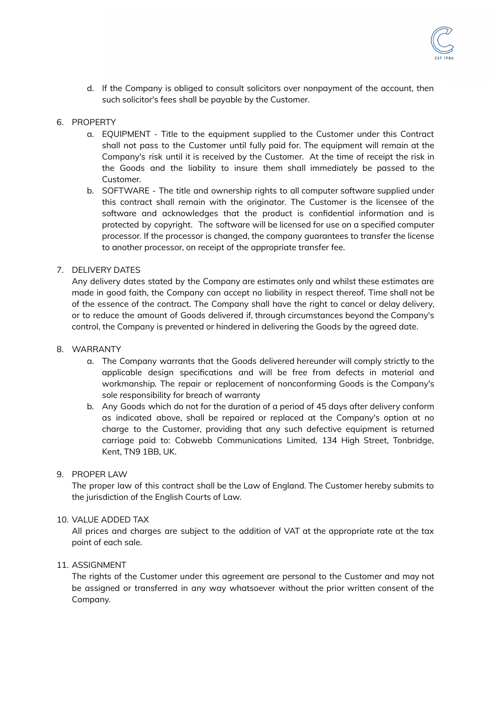

d. If the Company is obliged to consult solicitors over nonpayment of the account, then such solicitor's fees shall be payable by the Customer.

#### 6. PROPERTY

- a. EQUIPMENT Title to the equipment supplied to the Customer under this Contract shall not pass to the Customer until fully paid for. The equipment will remain at the Company's risk until it is received by the Customer. At the time of receipt the risk in the Goods and the liability to insure them shall immediately be passed to the Customer.
- b. SOFTWARE The title and ownership rights to all computer software supplied under this contract shall remain with the originator. The Customer is the licensee of the software and acknowledges that the product is confidential information and is protected by copyright. The software will be licensed for use on a specified computer processor. If the processor is changed, the company guarantees to transfer the license to another processor, on receipt of the appropriate transfer fee.

#### 7. DELIVERY DATES

Any delivery dates stated by the Company are estimates only and whilst these estimates are made in good faith, the Company can accept no liability in respect thereof. Time shall not be of the essence of the contract. The Company shall have the right to cancel or delay delivery, or to reduce the amount of Goods delivered if, through circumstances beyond the Company's control, the Company is prevented or hindered in delivering the Goods by the agreed date.

#### 8. WARRANTY

- a. The Company warrants that the Goods delivered hereunder will comply strictly to the applicable design specifications and will be free from defects in material and workmanship. The repair or replacement of nonconforming Goods is the Company's sole responsibility for breach of warranty
- b. Any Goods which do not for the duration of a period of 45 days after delivery conform as indicated above, shall be repaired or replaced at the Company's option at no charge to the Customer, providing that any such defective equipment is returned carriage paid to: Cobwebb Communications Limited, 134 High Street, Tonbridge, Kent, TN9 1BB, UK.

#### 9. PROPER LAW

The proper law of this contract shall be the Law of England. The Customer hereby submits to the jurisdiction of the English Courts of Law.

#### 10. VALUE ADDED TAX

All prices and charges are subject to the addition of VAT at the appropriate rate at the tax point of each sale.

#### 11. ASSIGNMENT

The rights of the Customer under this agreement are personal to the Customer and may not be assigned or transferred in any way whatsoever without the prior written consent of the Company.